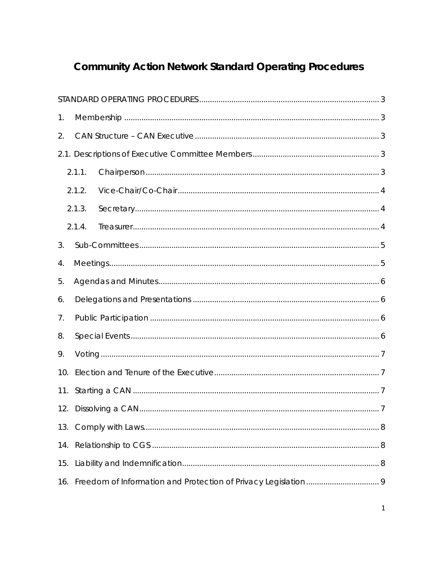# **Community Action Network Standard Operating Procedures**

| 1.  |        |  |  |  |  |
|-----|--------|--|--|--|--|
| 2.  |        |  |  |  |  |
|     |        |  |  |  |  |
|     | 2.1.1. |  |  |  |  |
|     | 2.1.2. |  |  |  |  |
|     | 2.1.3. |  |  |  |  |
|     | 2.1.4. |  |  |  |  |
| 3.  |        |  |  |  |  |
| 4.  |        |  |  |  |  |
| 5.  |        |  |  |  |  |
| 6.  |        |  |  |  |  |
| 7.  |        |  |  |  |  |
| 8.  |        |  |  |  |  |
| 9.  |        |  |  |  |  |
| 10. |        |  |  |  |  |
| 11. |        |  |  |  |  |
|     |        |  |  |  |  |
| 13. |        |  |  |  |  |
| 14. |        |  |  |  |  |
| 15. |        |  |  |  |  |
| 16. |        |  |  |  |  |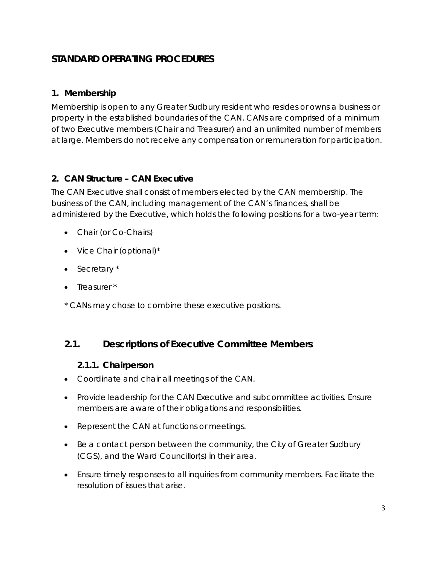# <span id="page-2-0"></span>**STANDARD OPERATING PROCEDURES**

#### <span id="page-2-1"></span>**1. Membership**

Membership is open to any Greater Sudbury resident who resides or owns a business or property in the established boundaries of the CAN. CANs are comprised of a minimum of two Executive members (Chair and Treasurer) and an unlimited number of members at large. Members do not receive any compensation or remuneration for participation.

#### <span id="page-2-2"></span>**2. CAN Structure – CAN Executive**

The CAN Executive shall consist of members elected by the CAN membership. The business of the CAN, including management of the CAN's finances, shall be administered by the Executive, which holds the following positions for a two-year term:

- Chair (or Co-Chairs)
- Vice Chair (optional)\*
- Secretary \*
- Treasurer \*

\* CANs may chose to combine these executive positions.

## <span id="page-2-4"></span><span id="page-2-3"></span>**2.1. Descriptions of Executive Committee Members**

#### **2.1.1. Chairperson**

- Coordinate and chair all meetings of the CAN.
- Provide leadership for the CAN Executive and subcommittee activities. Ensure members are aware of their obligations and responsibilities.
- Represent the CAN at functions or meetings.
- Be a contact person between the community, the City of Greater Sudbury (CGS), and the Ward Councillor(s) in their area.
- Ensure timely responses to all inquiries from community members. Facilitate the resolution of issues that arise.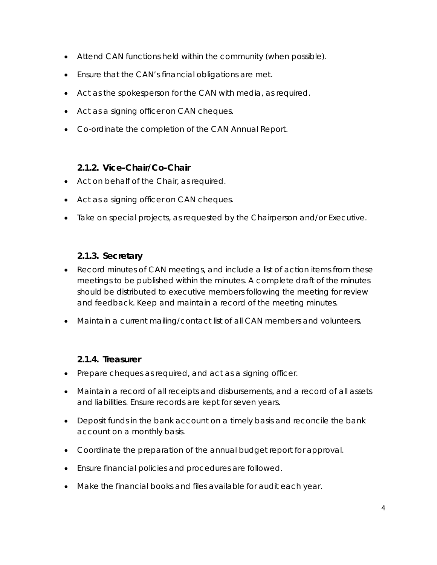- Attend CAN functions held within the community (when possible).
- Ensure that the CAN's financial obligations are met.
- Act as the spokesperson for the CAN with media, as required.
- Act as a signing officer on CAN cheques.
- Co-ordinate the completion of the CAN Annual Report.

#### **2.1.2. Vice-Chair/Co-Chair**

- <span id="page-3-0"></span>• Act on behalf of the Chair, as required.
- Act as a signing officer on CAN cheques.
- Take on special projects, as requested by the Chairperson and/or Executive.

#### **2.1.3. Secretary**

- <span id="page-3-1"></span>• Record minutes of CAN meetings, and include a list of action items from these meetings to be published within the minutes. A complete draft of the minutes should be distributed to executive members following the meeting for review and feedback. Keep and maintain a record of the meeting minutes.
- Maintain a current mailing/contact list of all CAN members and volunteers.

## **2.1.4. Treasurer**

- <span id="page-3-2"></span>• Prepare cheques as required, and act as a signing officer.
- Maintain a record of all receipts and disbursements, and a record of all assets and liabilities. Ensure records are kept for seven years.
- Deposit funds in the bank account on a timely basis and reconcile the bank account on a monthly basis.
- Coordinate the preparation of the annual budget report for approval.
- Ensure financial policies and procedures are followed.
- Make the financial books and files available for audit each year.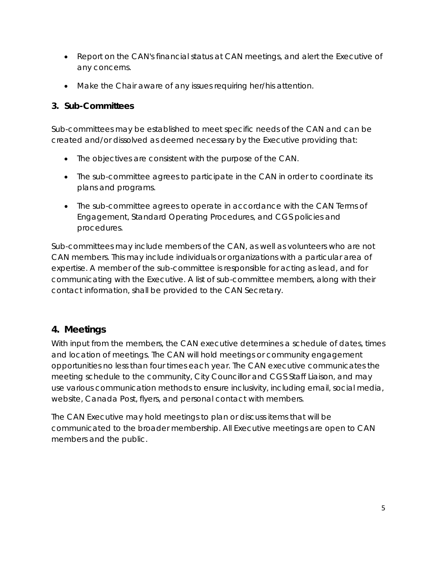- Report on the CAN's financial status at CAN meetings, and alert the Executive of any concerns.
- Make the Chair aware of any issues requiring her/his attention.

#### <span id="page-4-0"></span>**3. Sub-Committees**

Sub-committees may be established to meet specific needs of the CAN and can be created and/or dissolved as deemed necessary by the Executive providing that:

- The objectives are consistent with the purpose of the CAN.
- The sub-committee agrees to participate in the CAN in order to coordinate its plans and programs.
- The sub-committee agrees to operate in accordance with the CAN Terms of Engagement, Standard Operating Procedures, and CGS policies and procedures.

Sub-committees may include members of the CAN, as well as volunteers who are not CAN members. This may include individuals or organizations with a particular area of expertise. A member of the sub-committee is responsible for acting as lead, and for communicating with the Executive. A list of sub-committee members, along with their contact information, shall be provided to the CAN Secretary.

# <span id="page-4-1"></span>**4. Meetings**

With input from the members, the CAN executive determines a schedule of dates, times and location of meetings. The CAN will hold meetings or community engagement opportunities no less than four times each year. The CAN executive communicates the meeting schedule to the community, City Councillor and CGS Staff Liaison, and may use various communication methods to ensure inclusivity, including email, social media, website, Canada Post, flyers, and personal contact with members.

The CAN Executive may hold meetings to plan or discuss items that will be communicated to the broader membership. All Executive meetings are open to CAN members and the public.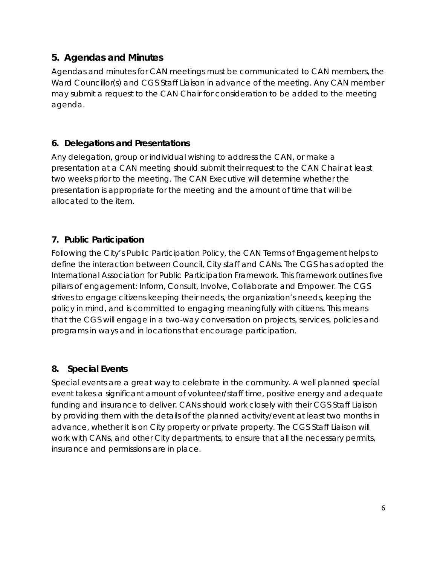# <span id="page-5-0"></span>**5. Agendas and Minutes**

Agendas and minutes for CAN meetings must be communicated to CAN members, the Ward Councillor(s) and CGS Staff Liaison in advance of the meeting. Any CAN member may submit a request to the CAN Chair for consideration to be added to the meeting agenda.

#### <span id="page-5-1"></span>**6. Delegations and Presentations**

Any delegation, group or individual wishing to address the CAN, or make a presentation at a CAN meeting should submit their request to the CAN Chair at least two weeks prior to the meeting. The CAN Executive will determine whether the presentation is appropriate for the meeting and the amount of time that will be allocated to the item.

## <span id="page-5-2"></span>**7. Public Participation**

Following the City's Public Participation Policy, the CAN Terms of Engagement helps to define the interaction between Council, City staff and CANs. The CGS has adopted the International Association for Public Participation Framework. This framework outlines five pillars of engagement: Inform, Consult, Involve, Collaborate and Empower. The CGS strives to engage citizens keeping their needs, the organization's needs, keeping the policy in mind, and is committed to engaging meaningfully with citizens. This means that the CGS will engage in a two-way conversation on projects, services, policies and programs in ways and in locations that encourage participation.

## <span id="page-5-3"></span>**8. Special Events**

Special events are a great way to celebrate in the community. A well planned special event takes a significant amount of volunteer/staff time, positive energy and adequate funding and insurance to deliver. CANs should work closely with their CGS Staff Liaison by providing them with the details of the planned activity/event at least two months in advance, whether it is on City property or private property. The CGS Staff Liaison will work with CANs, and other City departments, to ensure that all the necessary permits, insurance and permissions are in place.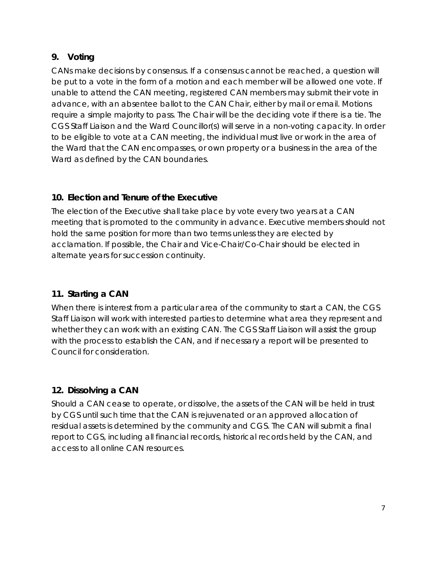## <span id="page-6-0"></span>**9. Voting**

CANs make decisions by consensus. If a consensus cannot be reached, a question will be put to a vote in the form of a motion and each member will be allowed one vote. If unable to attend the CAN meeting, registered CAN members may submit their vote in advance, with an absentee ballot to the CAN Chair, either by mail or email. Motions require a simple majority to pass. The Chair will be the deciding vote if there is a tie. The CGS Staff Liaison and the Ward Councillor(s) will serve in a non-voting capacity. In order to be eligible to vote at a CAN meeting, the individual must live or work in the area of the Ward that the CAN encompasses, or own property or a business in the area of the Ward as defined by the CAN boundaries.

# <span id="page-6-1"></span>**10. Election and Tenure of the Executive**

The election of the Executive shall take place by vote every two years at a CAN meeting that is promoted to the community in advance. Executive members should not hold the same position for more than two terms unless they are elected by acclamation. If possible, the Chair and Vice-Chair/Co-Chair should be elected in alternate years for succession continuity.

## <span id="page-6-2"></span>**11. Starting a CAN**

When there is interest from a particular area of the community to start a CAN, the CGS Staff Liaison will work with interested parties to determine what area they represent and whether they can work with an existing CAN. The CGS Staff Liaison will assist the group with the process to establish the CAN, and if necessary a report will be presented to Council for consideration.

# <span id="page-6-3"></span>**12. Dissolving a CAN**

Should a CAN cease to operate, or dissolve, the assets of the CAN will be held in trust by CGS until such time that the CAN is rejuvenated or an approved allocation of residual assets is determined by the community and CGS. The CAN will submit a final report to CGS, including all financial records, historical records held by the CAN, and access to all online CAN resources.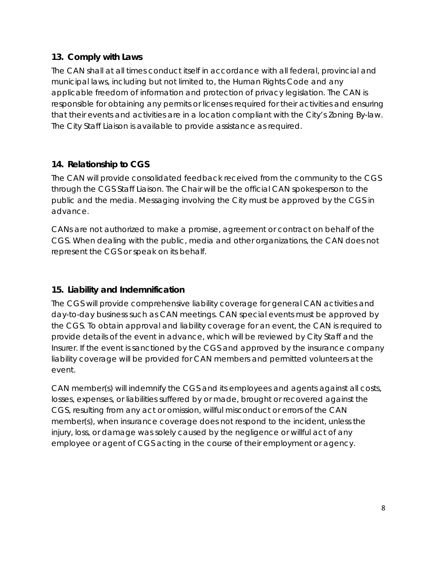#### <span id="page-7-0"></span>**13. Comply with Laws**

The CAN shall at all times conduct itself in accordance with all federal, provincial and municipal laws, including but not limited to, the Human Rights Code and any applicable freedom of information and protection of privacy legislation. The CAN is responsible for obtaining any permits or licenses required for their activities and ensuring that their events and activities are in a location compliant with the City's Zoning By-law. The City Staff Liaison is available to provide assistance as required.

## <span id="page-7-1"></span>**14. Relationship to CGS**

The CAN will provide consolidated feedback received from the community to the CGS through the CGS Staff Liaison. The Chair will be the official CAN spokesperson to the public and the media. Messaging involving the City must be approved by the CGS in advance.

CANs are not authorized to make a promise, agreement or contract on behalf of the CGS. When dealing with the public, media and other organizations, the CAN does not represent the CGS or speak on its behalf.

## <span id="page-7-2"></span>**15. Liability and Indemnification**

The CGS will provide comprehensive liability coverage for general CAN activities and day-to-day business such as CAN meetings. CAN special events must be approved by the CGS. To obtain approval and liability coverage for an event, the CAN is required to provide details of the event in advance, which will be reviewed by City Staff and the Insurer. If the event is sanctioned by the CGS and approved by the insurance company liability coverage will be provided for CAN members and permitted volunteers at the event.

CAN member(s) will indemnify the CGS and its employees and agents against all costs, losses, expenses, or liabilities suffered by or made, brought or recovered against the CGS, resulting from any act or omission, willful misconduct or errors of the CAN member(s), when insurance coverage does not respond to the incident, unless the injury, loss, or damage was solely caused by the negligence or willful act of any employee or agent of CGS acting in the course of their employment or agency.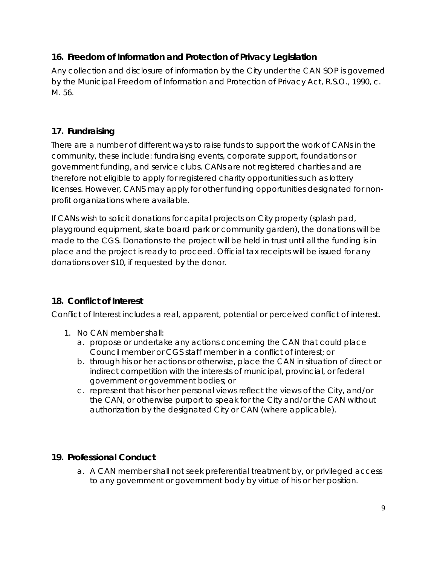# <span id="page-8-0"></span>**16. Freedom of Information and Protection of Privacy Legislation**

Any collection and disclosure of information by the City under the CAN SOP is governed by the *Municipal Freedom of Information and Protection of Privacy Act, R.S.O., 1990, c. M. 56.*

# <span id="page-8-1"></span>**17. Fundraising**

There are a number of different ways to raise funds to support the work of CANs in the community, these include: fundraising events, corporate support, foundations or government funding, and service clubs. CANs are not registered charities and are therefore not eligible to apply for registered charity opportunities such as lottery licenses. However, CANS may apply for other funding opportunities designated for nonprofit organizations where available.

If CANs wish to solicit donations for capital projects on City property (splash pad, playground equipment, skate board park or community garden), the donations will be made to the CGS. Donations to the project will be held in trust until all the funding is in place and the project is ready to proceed. Official tax receipts will be issued for any donations over \$10, if requested by the donor.

## <span id="page-8-2"></span>**18. Conflict of Interest**

Conflict of Interest includes a real, apparent, potential or perceived conflict of interest.

- 1. No CAN member shall:
	- a. propose or undertake any actions concerning the CAN that could place Council member or CGS staff member in a conflict of interest; or
	- b. through his or her actions or otherwise, place the CAN in situation of direct or indirect competition with the interests of municipal, provincial, or federal government or government bodies; or
	- c. represent that his or her personal views reflect the views of the City, and/or the CAN, or otherwise purport to speak for the City and/or the CAN without authorization by the designated City or CAN (where applicable).

## <span id="page-8-3"></span>**19. Professional Conduct**

a. A CAN member shall not seek preferential treatment by, or privileged access to any government or government body by virtue of his or her position.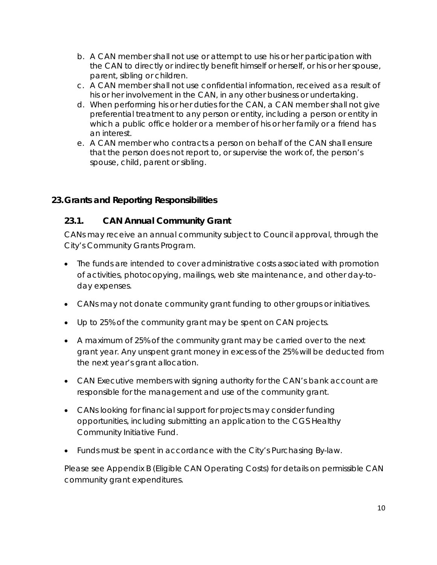- b. A CAN member shall not use or attempt to use his or her participation with the CAN to directly or indirectly benefit himself or herself, or his or her spouse, parent, sibling or children.
- c. A CAN member shall not use confidential information, received as a result of his or her involvement in the CAN, in any other business or undertaking.
- d. When performing his or her duties for the CAN, a CAN member shall not give preferential treatment to any person or entity, including a person or entity in which a public office holder or a member of his or her family or a friend has an interest.
- e. A CAN member who contracts a person on behalf of the CAN shall ensure that the person does not report to, or supervise the work of, the person's spouse, child, parent or sibling.

#### <span id="page-9-1"></span><span id="page-9-0"></span>**23.Grants and Reporting Responsibilities**

#### **23.1. CAN Annual Community Grant**

CANs may receive an annual community subject to Council approval, through the City's Community Grants Program.

- The funds are intended to cover administrative costs associated with promotion of activities, photocopying, mailings, web site maintenance, and other day-today expenses.
- CANs may not donate community grant funding to other groups or initiatives.
- Up to 25% of the community grant may be spent on CAN projects.
- A maximum of 25% of the community grant may be carried over to the next grant year. Any unspent grant money in excess of the 25% will be deducted from the next year's grant allocation.
- CAN Executive members with signing authority for the CAN's bank account are responsible for the management and use of the community grant.
- CANs looking for financial support for projects may consider funding opportunities, including submitting an application to the CGS Healthy Community Initiative Fund.
- Funds must be spent in accordance with the City's Purchasing By-law.

Please see Appendix B (Eligible CAN Operating Costs) for details on permissible CAN community grant expenditures.